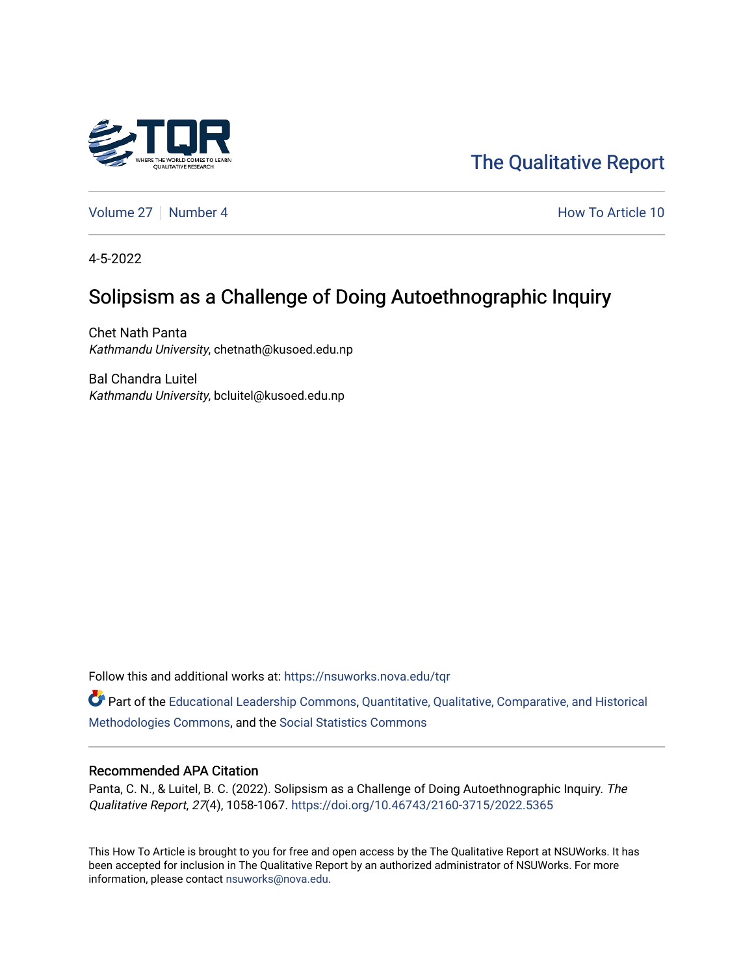

[The Qualitative Report](https://nsuworks.nova.edu/tqr) 

[Volume 27](https://nsuworks.nova.edu/tqr/vol27) | [Number 4](https://nsuworks.nova.edu/tqr/vol27/iss4) How To Article 10

4-5-2022

# Solipsism as a Challenge of Doing Autoethnographic Inquiry

Chet Nath Panta Kathmandu University, chetnath@kusoed.edu.np

Bal Chandra Luitel Kathmandu University, bcluitel@kusoed.edu.np

Follow this and additional works at: [https://nsuworks.nova.edu/tqr](https://nsuworks.nova.edu/tqr?utm_source=nsuworks.nova.edu%2Ftqr%2Fvol27%2Fiss4%2F10&utm_medium=PDF&utm_campaign=PDFCoverPages) 

Part of the [Educational Leadership Commons,](http://network.bepress.com/hgg/discipline/1230?utm_source=nsuworks.nova.edu%2Ftqr%2Fvol27%2Fiss4%2F10&utm_medium=PDF&utm_campaign=PDFCoverPages) [Quantitative, Qualitative, Comparative, and Historical](http://network.bepress.com/hgg/discipline/423?utm_source=nsuworks.nova.edu%2Ftqr%2Fvol27%2Fiss4%2F10&utm_medium=PDF&utm_campaign=PDFCoverPages) [Methodologies Commons](http://network.bepress.com/hgg/discipline/423?utm_source=nsuworks.nova.edu%2Ftqr%2Fvol27%2Fiss4%2F10&utm_medium=PDF&utm_campaign=PDFCoverPages), and the [Social Statistics Commons](http://network.bepress.com/hgg/discipline/1275?utm_source=nsuworks.nova.edu%2Ftqr%2Fvol27%2Fiss4%2F10&utm_medium=PDF&utm_campaign=PDFCoverPages) 

### Recommended APA Citation

Panta, C. N., & Luitel, B. C. (2022). Solipsism as a Challenge of Doing Autoethnographic Inquiry. The Qualitative Report, 27(4), 1058-1067. <https://doi.org/10.46743/2160-3715/2022.5365>

This How To Article is brought to you for free and open access by the The Qualitative Report at NSUWorks. It has been accepted for inclusion in The Qualitative Report by an authorized administrator of NSUWorks. For more information, please contact [nsuworks@nova.edu.](mailto:nsuworks@nova.edu)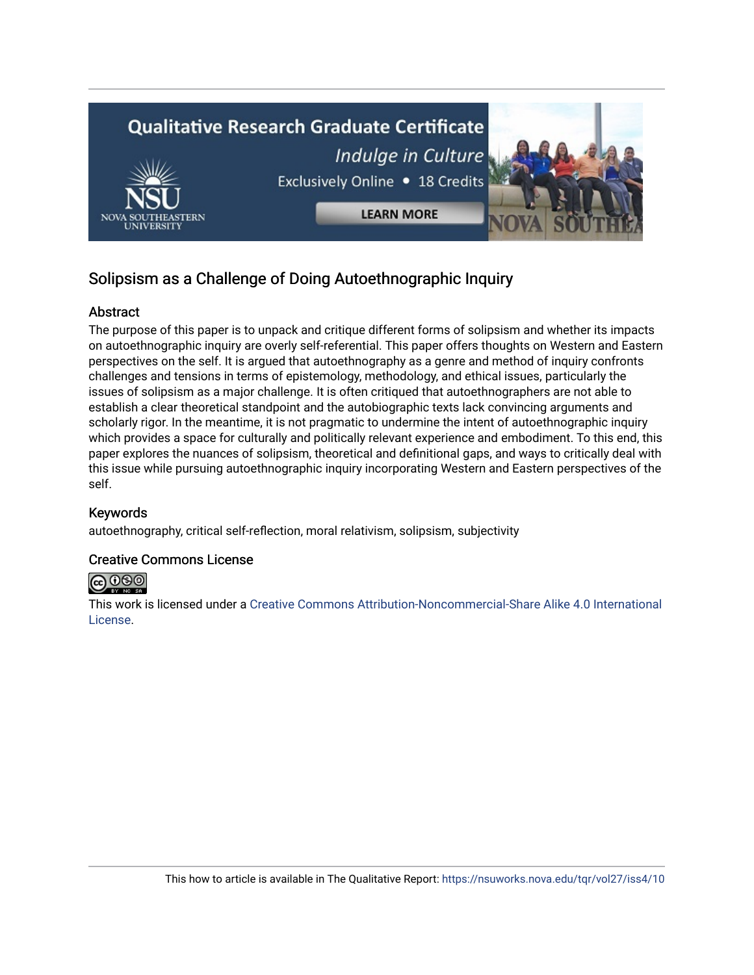

# Solipsism as a Challenge of Doing Autoethnographic Inquiry

# Abstract

The purpose of this paper is to unpack and critique different forms of solipsism and whether its impacts on autoethnographic inquiry are overly self-referential. This paper offers thoughts on Western and Eastern perspectives on the self. It is argued that autoethnography as a genre and method of inquiry confronts challenges and tensions in terms of epistemology, methodology, and ethical issues, particularly the issues of solipsism as a major challenge. It is often critiqued that autoethnographers are not able to establish a clear theoretical standpoint and the autobiographic texts lack convincing arguments and scholarly rigor. In the meantime, it is not pragmatic to undermine the intent of autoethnographic inquiry which provides a space for culturally and politically relevant experience and embodiment. To this end, this paper explores the nuances of solipsism, theoretical and definitional gaps, and ways to critically deal with this issue while pursuing autoethnographic inquiry incorporating Western and Eastern perspectives of the self.

# Keywords

autoethnography, critical self-reflection, moral relativism, solipsism, subjectivity

# Creative Commons License



This work is licensed under a [Creative Commons Attribution-Noncommercial-Share Alike 4.0 International](https://creativecommons.org/licenses/by-nc-sa/4.0/)  [License](https://creativecommons.org/licenses/by-nc-sa/4.0/).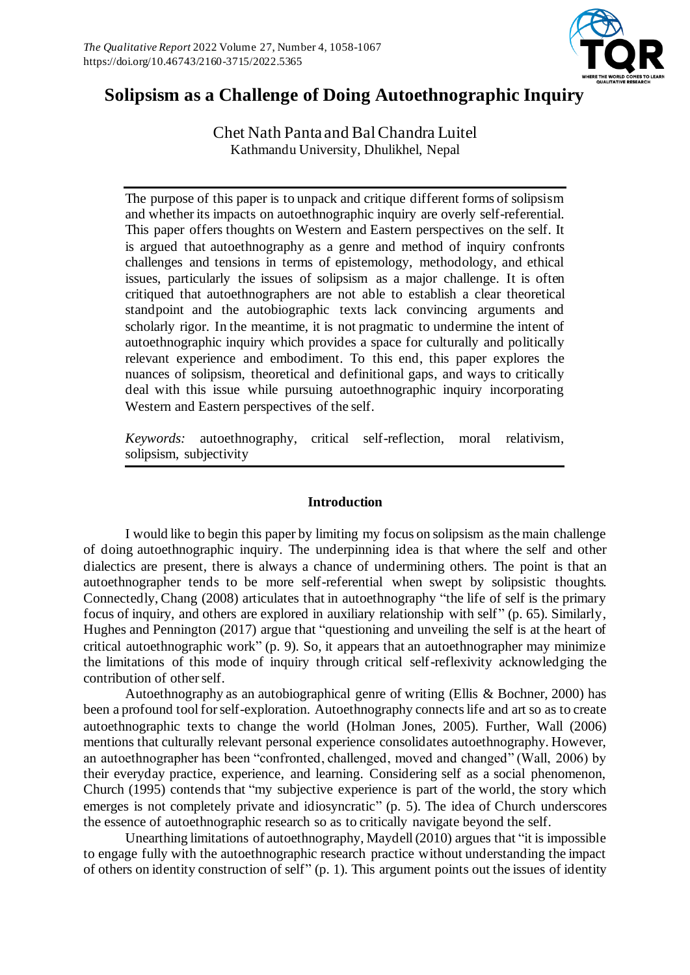

# **Solipsism as a Challenge of Doing Autoethnographic Inquiry**

Chet Nath Panta and Bal Chandra Luitel Kathmandu University, Dhulikhel, Nepal

The purpose of this paper is to unpack and critique different forms of solipsism and whether its impacts on autoethnographic inquiry are overly self-referential. This paper offers thoughts on Western and Eastern perspectives on the self. It is argued that autoethnography as a genre and method of inquiry confronts challenges and tensions in terms of epistemology, methodology, and ethical issues, particularly the issues of solipsism as a major challenge. It is often critiqued that autoethnographers are not able to establish a clear theoretical standpoint and the autobiographic texts lack convincing arguments and scholarly rigor. In the meantime, it is not pragmatic to undermine the intent of autoethnographic inquiry which provides a space for culturally and politically relevant experience and embodiment. To this end, this paper explores the nuances of solipsism, theoretical and definitional gaps, and ways to critically deal with this issue while pursuing autoethnographic inquiry incorporating Western and Eastern perspectives of the self.

*Keywords:* autoethnography, critical self-reflection, moral relativism, solipsism, subjectivity

# **Introduction**

I would like to begin this paper by limiting my focus on solipsism as the main challenge of doing autoethnographic inquiry. The underpinning idea is that where the self and other dialectics are present, there is always a chance of undermining others. The point is that an autoethnographer tends to be more self-referential when swept by solipsistic thoughts. Connectedly, Chang (2008) articulates that in autoethnography "the life of self is the primary focus of inquiry, and others are explored in auxiliary relationship with self" (p. 65). Similarly, Hughes and Pennington (2017) argue that "questioning and unveiling the self is at the heart of critical autoethnographic work" (p. 9). So, it appears that an autoethnographer may minimize the limitations of this mode of inquiry through critical self-reflexivity acknowledging the contribution of other self.

Autoethnography as an autobiographical genre of writing (Ellis & Bochner, 2000) has been a profound tool for self-exploration. Autoethnography connects life and art so as to create autoethnographic texts to change the world (Holman Jones, 2005). Further, Wall (2006) mentions that culturally relevant personal experience consolidates autoethnography. However, an autoethnographer has been "confronted, challenged, moved and changed" (Wall, 2006) by their everyday practice, experience, and learning. Considering self as a social phenomenon, Church (1995) contends that "my subjective experience is part of the world, the story which emerges is not completely private and idiosyncratic" (p. 5). The idea of Church underscores the essence of autoethnographic research so as to critically navigate beyond the self.

Unearthing limitations of autoethnography, Maydell (2010) argues that "it is impossible to engage fully with the autoethnographic research practice without understanding the impact of others on identity construction of self" (p. 1). This argument points out the issues of identity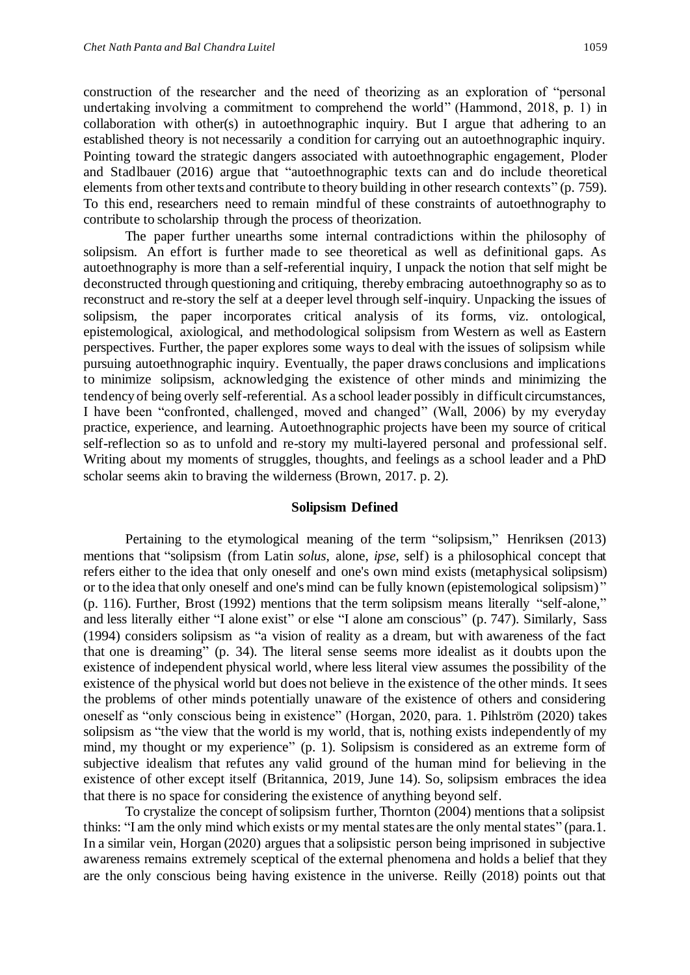construction of the researcher and the need of theorizing as an exploration of "personal undertaking involving a commitment to comprehend the world" (Hammond, 2018, p. 1) in collaboration with other(s) in autoethnographic inquiry. But I argue that adhering to an established theory is not necessarily a condition for carrying out an autoethnographic inquiry. Pointing toward the strategic dangers associated with autoethnographic engagement, Ploder and Stadlbauer (2016) argue that "autoethnographic texts can and do include theoretical elements from other texts and contribute to theory building in other research contexts" (p. 759). To this end, researchers need to remain mindful of these constraints of autoethnography to contribute to scholarship through the process of theorization.

The paper further unearths some internal contradictions within the philosophy of solipsism. An effort is further made to see theoretical as well as definitional gaps. As autoethnography is more than a self-referential inquiry, I unpack the notion that self might be deconstructed through questioning and critiquing, thereby embracing autoethnography so as to reconstruct and re-story the self at a deeper level through self-inquiry. Unpacking the issues of solipsism, the paper incorporates critical analysis of its forms, viz. ontological, epistemological, axiological, and methodological solipsism from Western as well as Eastern perspectives. Further, the paper explores some ways to deal with the issues of solipsism while pursuing autoethnographic inquiry. Eventually, the paper draws conclusions and implications to minimize solipsism, acknowledging the existence of other minds and minimizing the tendency of being overly self-referential. As a school leader possibly in difficult circumstances, I have been "confronted, challenged, moved and changed" (Wall, 2006) by my everyday practice, experience, and learning. Autoethnographic projects have been my source of critical self-reflection so as to unfold and re-story my multi-layered personal and professional self. Writing about my moments of struggles, thoughts, and feelings as a school leader and a PhD scholar seems akin to braving the wilderness (Brown, 2017. p. 2).

## **Solipsism Defined**

Pertaining to the etymological meaning of the term "solipsism," Henriksen (2013) mentions that "solipsism (from Latin *solus*, alone, *ipse*, self) is a philosophical concept that refers either to the idea that only oneself and one's own mind exists (metaphysical solipsism) or to the idea that only oneself and one's mind can be fully known (epistemological solipsism)" (p. 116). Further, Brost (1992) mentions that the term solipsism means literally "self-alone," and less literally either "I alone exist" or else "I alone am conscious" (p. 747). Similarly, Sass (1994) considers solipsism as "a vision of reality as a dream, but with awareness of the fact that one is dreaming" (p. 34). The literal sense seems more idealist as it doubts upon the existence of independent physical world, where less literal view assumes the possibility of the existence of the physical world but does not believe in the existence of the other minds. It sees the problems of other minds potentially unaware of the existence of others and considering oneself as "only conscious being in existence" (Horgan, 2020, para. 1. Pihlström (2020) takes solipsism as "the view that the world is my world, that is, nothing exists independently of my mind, my thought or my experience" (p. 1). Solipsism is considered as an extreme form of subjective idealism that refutes any valid ground of the human mind for believing in the existence of other except itself (Britannica, 2019, June 14). So, solipsism embraces the idea that there is no space for considering the existence of anything beyond self.

To crystalize the concept of solipsism further, Thornton (2004) mentions that a solipsist thinks: "I am the only mind which exists or my mental states are the only mental states" (para.1. In a similar vein, Horgan (2020) argues that a solipsistic person being imprisoned in subjective awareness remains extremely sceptical of the external phenomena and holds a belief that they are the only conscious being having existence in the universe. Reilly (2018) points out that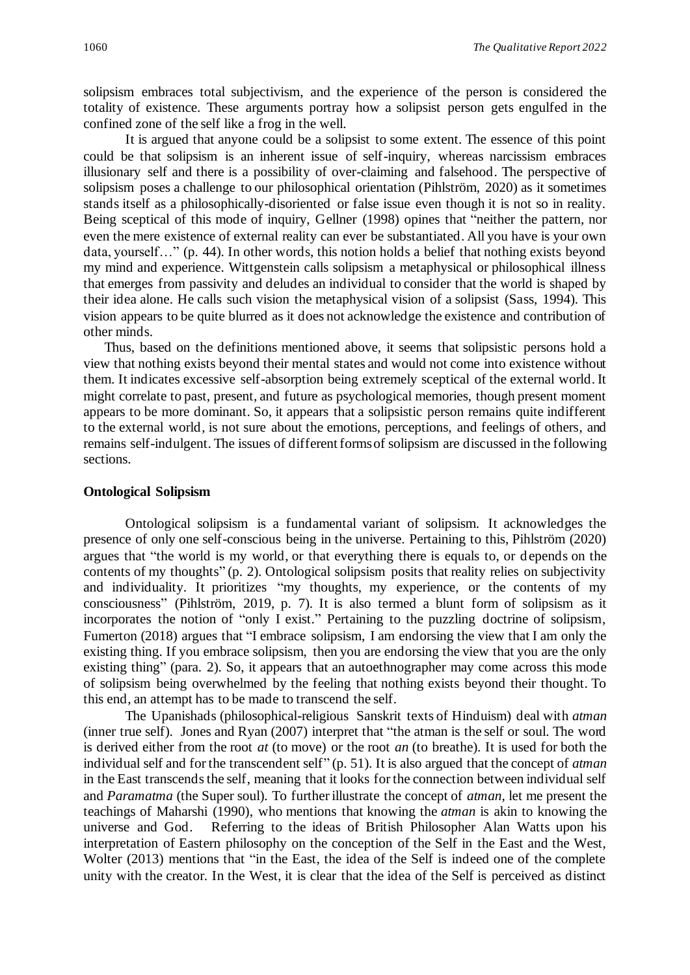solipsism embraces total subjectivism, and the experience of the person is considered the totality of existence. These arguments portray how a solipsist person gets engulfed in the confined zone of the self like a frog in the well.

It is argued that anyone could be a solipsist to some extent. The essence of this point could be that solipsism is an inherent issue of self-inquiry, whereas narcissism embraces illusionary self and there is a possibility of over-claiming and falsehood. The perspective of solipsism poses a challenge to our philosophical orientation (Pihlström, 2020) as it sometimes stands itself as a philosophically-disoriented or false issue even though it is not so in reality. Being sceptical of this mode of inquiry, Gellner (1998) opines that "neither the pattern, nor even the mere existence of external reality can ever be substantiated. All you have is your own data, yourself…" (p. 44). In other words, this notion holds a belief that nothing exists beyond my mind and experience. Wittgenstein calls solipsism a metaphysical or philosophical illness that emerges from passivity and deludes an individual to consider that the world is shaped by their idea alone. He calls such vision the metaphysical vision of a solipsist (Sass, 1994). This vision appears to be quite blurred as it does not acknowledge the existence and contribution of other minds.

Thus, based on the definitions mentioned above, it seems that solipsistic persons hold a view that nothing exists beyond their mental states and would not come into existence without them. It indicates excessive self-absorption being extremely sceptical of the external world. It might correlate to past, present, and future as psychological memories, though present moment appears to be more dominant. So, it appears that a solipsistic person remains quite indifferent to the external world, is not sure about the emotions, perceptions, and feelings of others, and remains self-indulgent. The issues of different forms of solipsism are discussed in the following sections.

## **Ontological Solipsism**

Ontological solipsism is a fundamental variant of solipsism. It acknowledges the presence of only one self-conscious being in the universe. Pertaining to this, Pihlström (2020) argues that "the world is my world, or that everything there is equals to, or depends on the contents of my thoughts" (p. 2). Ontological solipsism posits that reality relies on subjectivity and individuality. It prioritizes "my thoughts, my experience, or the contents of my consciousness" (Pihlström, 2019, p. 7). It is also termed a blunt form of solipsism as it incorporates the notion of "only I exist." Pertaining to the puzzling doctrine of solipsism, Fumerton (2018) argues that "I embrace solipsism, I am endorsing the view that I am only the existing thing. If you embrace solipsism, then you are endorsing the view that you are the only existing thing" (para. 2). So, it appears that an autoethnographer may come across this mode of solipsism being overwhelmed by the feeling that nothing exists beyond their thought. To this end, an attempt has to be made to transcend the self.

The Upanishads (philosophical-religious Sanskrit texts of Hinduism) deal with *atman* (inner true self). Jones and Ryan (2007) interpret that "the atman is the self or soul. The word is derived either from the root *at* (to move) or the root *an* (to breathe). It is used for both the individual self and for the transcendent self" (p. 51). It is also argued that the concept of *atman* in the East transcends the self, meaning that it looks for the connection between individual self and *Paramatma* (the Super soul). To further illustrate the concept of *atman*, let me present the teachings of Maharshi (1990), who mentions that knowing the *atman* is akin to knowing the universe and God. Referring to the ideas of British Philosopher Alan Watts upon his interpretation of Eastern philosophy on the conception of the Self in the East and the West, Wolter (2013) mentions that "in the East, the idea of the Self is indeed one of the complete unity with the creator. In the West, it is clear that the idea of the Self is perceived as distinct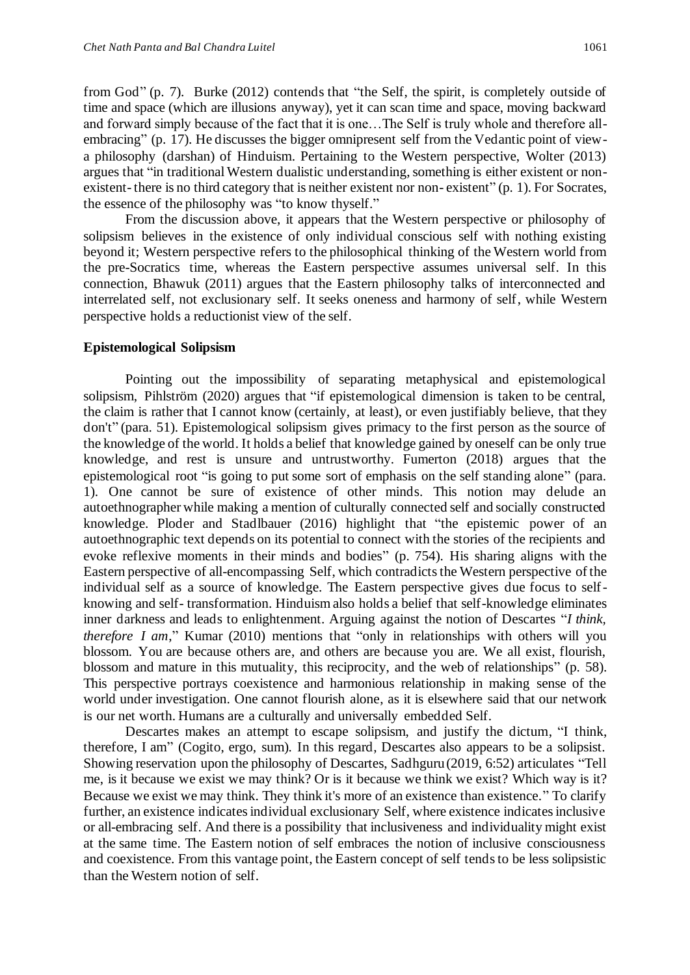from God" (p. 7). Burke (2012) contends that "the Self, the spirit, is completely outside of time and space (which are illusions anyway), yet it can scan time and space, moving backward and forward simply because of the fact that it is one…The Self is truly whole and therefore allembracing" (p. 17). He discusses the bigger omnipresent self from the Vedantic point of viewa philosophy (darshan) of Hinduism. Pertaining to the Western perspective, Wolter (2013) argues that "in traditional Western dualistic understanding, something is either existent or nonexistent- there is no third category that is neither existent nor non- existent" (p. 1). For Socrates, the essence of the philosophy was "to know thyself."

From the discussion above, it appears that the Western perspective or philosophy of solipsism believes in the existence of only individual conscious self with nothing existing beyond it; Western perspective refers to the philosophical thinking of the Western world from the pre-Socratics time, whereas the Eastern perspective assumes universal self. In this connection, Bhawuk (2011) argues that the Eastern philosophy talks of interconnected and interrelated self, not exclusionary self. It seeks oneness and harmony of self, while Western perspective holds a reductionist view of the self.

#### **Epistemological Solipsism**

Pointing out the impossibility of separating metaphysical and epistemological solipsism, Pihlström (2020) argues that "if epistemological dimension is taken to be central, the claim is rather that I cannot know (certainly, at least), or even justifiably believe, that they don't" (para. 51). Epistemological solipsism gives primacy to the first person as the source of the knowledge of the world. It holds a belief that knowledge gained by oneself can be only true knowledge, and rest is unsure and untrustworthy. Fumerton (2018) argues that the epistemological root "is going to put some sort of emphasis on the self standing alone" (para. 1). One cannot be sure of existence of other minds. This notion may delude an autoethnographer while making a mention of culturally connected self and socially constructed knowledge. Ploder and Stadlbauer (2016) highlight that "the epistemic power of an autoethnographic text depends on its potential to connect with the stories of the recipients and evoke reflexive moments in their minds and bodies" (p. 754). His sharing aligns with the Eastern perspective of all-encompassing Self, which contradicts the Western perspective of the individual self as a source of knowledge. The Eastern perspective gives due focus to selfknowing and self- transformation. Hinduism also holds a belief that self-knowledge eliminates inner darkness and leads to enlightenment. Arguing against the notion of Descartes "*I think, therefore I am*," Kumar (2010) mentions that "only in relationships with others will you blossom. You are because others are, and others are because you are. We all exist, flourish, blossom and mature in this mutuality, this reciprocity, and the web of relationships" (p. 58). This perspective portrays coexistence and harmonious relationship in making sense of the world under investigation. One cannot flourish alone, as it is elsewhere said that our network is our net worth. Humans are a culturally and universally embedded Self.

Descartes makes an attempt to escape solipsism, and justify the dictum, "I think, therefore, I am" (Cogito, ergo, sum). In this regard, Descartes also appears to be a solipsist. Showing reservation upon the philosophy of Descartes, Sadhguru (2019, 6:52) articulates "Tell me, is it because we exist we may think? Or is it because we think we exist? Which way is it? Because we exist we may think. They think it's more of an existence than existence." To clarify further, an existence indicates individual exclusionary Self, where existence indicates inclusive or all-embracing self. And there is a possibility that inclusiveness and individuality might exist at the same time. The Eastern notion of self embraces the notion of inclusive consciousness and coexistence. From this vantage point, the Eastern concept of self tends to be less solipsistic than the Western notion of self.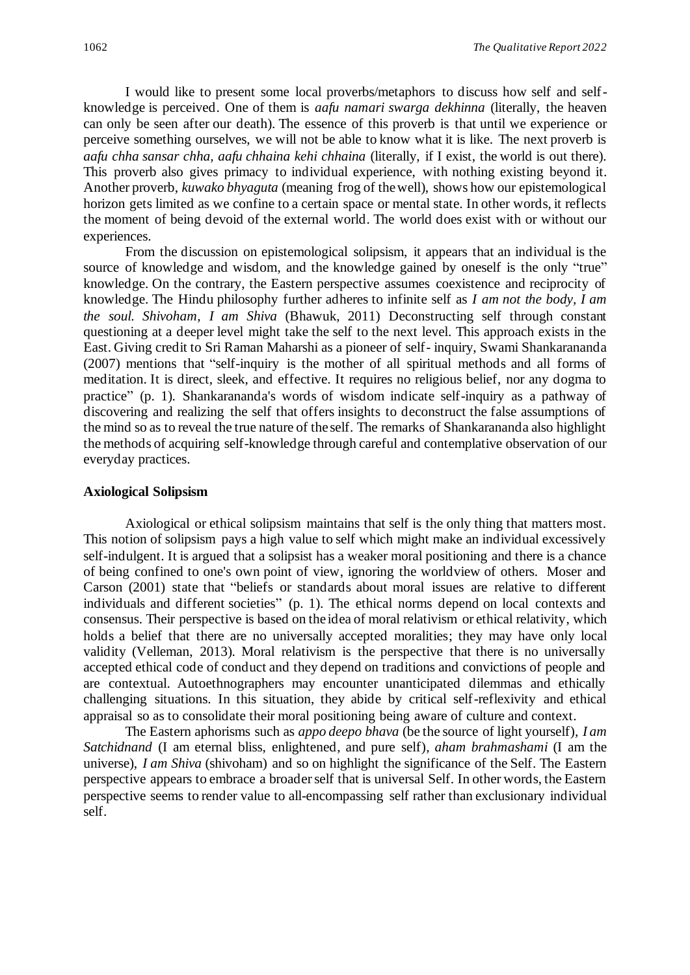I would like to present some local proverbs/metaphors to discuss how self and selfknowledge is perceived. One of them is *aafu namari swarga dekhinna* (literally, the heaven can only be seen after our death). The essence of this proverb is that until we experience or perceive something ourselves, we will not be able to know what it is like. The next proverb is *aafu chha sansar chha, aafu chhaina kehi chhaina* (literally, if I exist, the world is out there). This proverb also gives primacy to individual experience, with nothing existing beyond it. Another proverb, *kuwako bhyaguta* (meaning frog of the well), shows how our epistemological horizon gets limited as we confine to a certain space or mental state. In other words, it reflects the moment of being devoid of the external world. The world does exist with or without our experiences.

From the discussion on epistemological solipsism, it appears that an individual is the source of knowledge and wisdom, and the knowledge gained by oneself is the only "true" knowledge. On the contrary, the Eastern perspective assumes coexistence and reciprocity of knowledge. The Hindu philosophy further adheres to infinite self as *I am not the body, I am the soul. Shivoham, I am Shiva* (Bhawuk, 2011) Deconstructing self through constant questioning at a deeper level might take the self to the next level. This approach exists in the East. Giving credit to Sri Raman Maharshi as a pioneer of self- inquiry, Swami Shankarananda (2007) mentions that "self-inquiry is the mother of all spiritual methods and all forms of meditation. It is direct, sleek, and effective. It requires no religious belief, nor any dogma to practice" (p. 1). Shankarananda's words of wisdom indicate self-inquiry as a pathway of discovering and realizing the self that offers insights to deconstruct the false assumptions of the mind so as to reveal the true nature of the self. The remarks of Shankarananda also highlight the methods of acquiring self-knowledge through careful and contemplative observation of our everyday practices.

### **Axiological Solipsism**

Axiological or ethical solipsism maintains that self is the only thing that matters most. This notion of solipsism pays a high value to self which might make an individual excessively self-indulgent. It is argued that a solipsist has a weaker moral positioning and there is a chance of being confined to one's own point of view, ignoring the worldview of others. Moser and Carson (2001) state that "beliefs or standards about moral issues are relative to different individuals and different societies" (p. 1). The ethical norms depend on local contexts and consensus. Their perspective is based on the idea of moral relativism or ethical relativity, which holds a belief that there are no universally accepted moralities; they may have only local validity (Velleman, 2013). Moral relativism is the perspective that there is no universally accepted ethical code of conduct and they depend on traditions and convictions of people and are contextual. Autoethnographers may encounter unanticipated dilemmas and ethically challenging situations. In this situation, they abide by critical self-reflexivity and ethical appraisal so as to consolidate their moral positioning being aware of culture and context.

The Eastern aphorisms such as *appo deepo bhava* (be the source of light yourself)*, I am Satchidnand* (I am eternal bliss, enlightened, and pure self), *aham brahmashami* (I am the universe), *I am Shiva* (shivoham) and so on highlight the significance of the Self. The Eastern perspective appears to embrace a broader self that is universal Self. In other words, the Eastern perspective seems to render value to all-encompassing self rather than exclusionary individual self.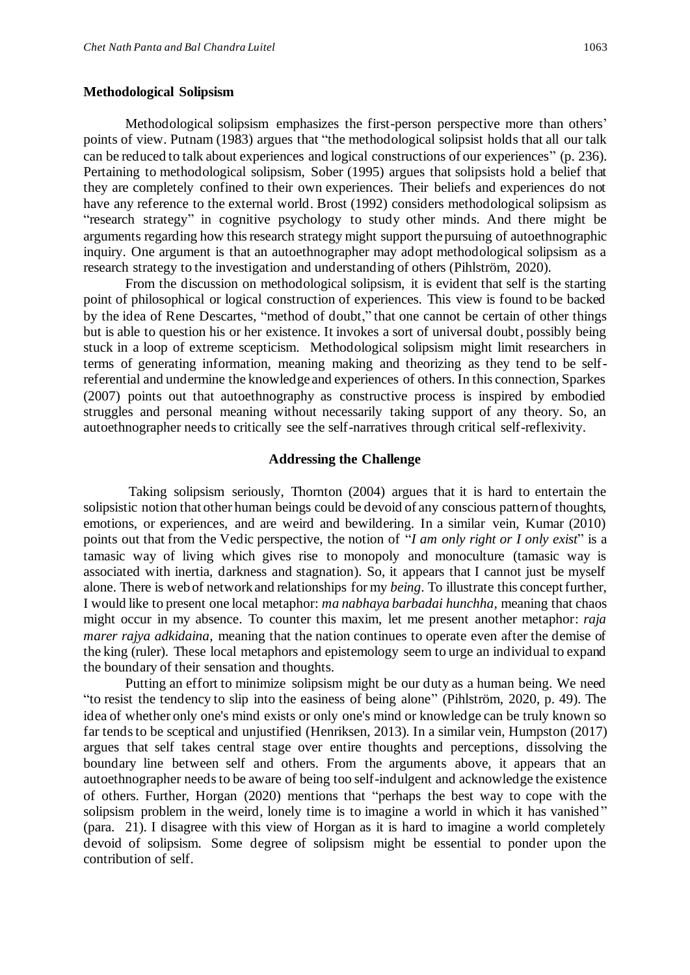## **Methodological Solipsism**

Methodological solipsism emphasizes the first-person perspective more than others' points of view. Putnam (1983) argues that "the methodological solipsist holds that all our talk can be reduced to talk about experiences and logical constructions of our experiences" (p. 236). Pertaining to methodological solipsism, Sober (1995) argues that solipsists hold a belief that they are completely confined to their own experiences. Their beliefs and experiences do not have any reference to the external world. Brost (1992) considers methodological solipsism as "research strategy" in cognitive psychology to study other minds. And there might be arguments regarding how this research strategy might support the pursuing of autoethnographic inquiry. One argument is that an autoethnographer may adopt methodological solipsism as a research strategy to the investigation and understanding of others (Pihlström, 2020).

From the discussion on methodological solipsism, it is evident that self is the starting point of philosophical or logical construction of experiences. This view is found to be backed by the idea of Rene Descartes, "method of doubt," that one cannot be certain of other things but is able to question his or her existence. It invokes a sort of universal doubt, possibly being stuck in a loop of extreme scepticism. Methodological solipsism might limit researchers in terms of generating information, meaning making and theorizing as they tend to be selfreferential and undermine the knowledge and experiences of others. In this connection, Sparkes (2007) points out that autoethnography as constructive process is inspired by embodied struggles and personal meaning without necessarily taking support of any theory. So, an autoethnographer needs to critically see the self-narratives through critical self-reflexivity.

#### **Addressing the Challenge**

Taking solipsism seriously, Thornton (2004) argues that it is hard to entertain the solipsistic notion that other human beings could be devoid of any conscious pattern of thoughts, emotions, or experiences, and are weird and bewildering. In a similar vein, Kumar (2010) points out that from the Vedic perspective, the notion of "*I am only right or I only exist*" is a tamasic way of living which gives rise to monopoly and monoculture (tamasic way is associated with inertia, darkness and stagnation). So, it appears that I cannot just be myself alone. There is web of network and relationships for my *being*. To illustrate this concept further, I would like to present one local metaphor: *ma nabhaya barbadai hunchha,* meaning that chaos might occur in my absence. To counter this maxim, let me present another metaphor: *raja marer rajya adkidaina,* meaning that the nation continues to operate even after the demise of the king (ruler). These local metaphors and epistemology seem to urge an individual to expand the boundary of their sensation and thoughts.

Putting an effort to minimize solipsism might be our duty as a human being. We need "to resist the tendency to slip into the easiness of being alone" (Pihlström, 2020, p. 49). The idea of whether only one's mind exists or only one's mind or knowledge can be truly known so far tends to be sceptical and unjustified (Henriksen, 2013). In a similar vein, Humpston (2017) argues that self takes central stage over entire thoughts and perceptions, dissolving the boundary line between self and others. From the arguments above, it appears that an autoethnographer needs to be aware of being too self-indulgent and acknowledge the existence of others. Further, Horgan (2020) mentions that "perhaps the best way to cope with the solipsism problem in the weird, lonely time is to imagine a world in which it has vanished " (para. 21). I disagree with this view of Horgan as it is hard to imagine a world completely devoid of solipsism. Some degree of solipsism might be essential to ponder upon the contribution of self.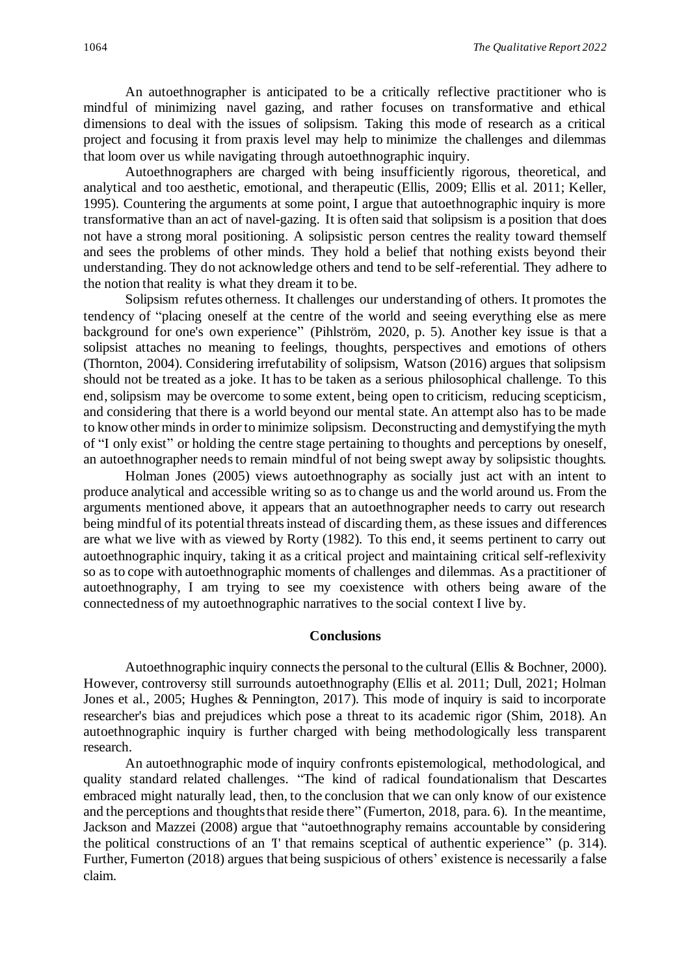An autoethnographer is anticipated to be a critically reflective practitioner who is mindful of minimizing navel gazing, and rather focuses on transformative and ethical dimensions to deal with the issues of solipsism. Taking this mode of research as a critical project and focusing it from praxis level may help to minimize the challenges and dilemmas that loom over us while navigating through autoethnographic inquiry.

Autoethnographers are charged with being insufficiently rigorous, theoretical, and analytical and too aesthetic, emotional, and therapeutic (Ellis, 2009; Ellis et al. 2011; Keller, 1995). Countering the arguments at some point, I argue that autoethnographic inquiry is more transformative than an act of navel-gazing. It is often said that solipsism is a position that does not have a strong moral positioning. A solipsistic person centres the reality toward themself and sees the problems of other minds. They hold a belief that nothing exists beyond their understanding. They do not acknowledge others and tend to be self-referential. They adhere to the notion that reality is what they dream it to be.

Solipsism refutes otherness. It challenges our understanding of others. It promotes the tendency of "placing oneself at the centre of the world and seeing everything else as mere background for one's own experience" (Pihlström, 2020, p. 5). Another key issue is that a solipsist attaches no meaning to feelings, thoughts, perspectives and emotions of others (Thornton, 2004). Considering irrefutability of solipsism, Watson (2016) argues that solipsism should not be treated as a joke. It has to be taken as a serious philosophical challenge. To this end, solipsism may be overcome to some extent, being open to criticism, reducing scepticism, and considering that there is a world beyond our mental state. An attempt also has to be made to know other minds in order to minimize solipsism. Deconstructing and demystifying the myth of "I only exist" or holding the centre stage pertaining to thoughts and perceptions by oneself, an autoethnographer needs to remain mindful of not being swept away by solipsistic thoughts.

Holman Jones (2005) views autoethnography as socially just act with an intent to produce analytical and accessible writing so as to change us and the world around us. From the arguments mentioned above, it appears that an autoethnographer needs to carry out research being mindful of its potential threats instead of discarding them, as these issues and differences are what we live with as viewed by Rorty (1982). To this end, it seems pertinent to carry out autoethnographic inquiry, taking it as a critical project and maintaining critical self-reflexivity so as to cope with autoethnographic moments of challenges and dilemmas. As a practitioner of autoethnography, I am trying to see my coexistence with others being aware of the connectedness of my autoethnographic narratives to the social context I live by.

#### **Conclusions**

Autoethnographic inquiry connects the personal to the cultural (Ellis & Bochner, 2000). However, controversy still surrounds autoethnography (Ellis et al. 2011; Dull, 2021; Holman Jones et al., 2005; Hughes & Pennington, 2017). This mode of inquiry is said to incorporate researcher's bias and prejudices which pose a threat to its academic rigor (Shim, 2018). An autoethnographic inquiry is further charged with being methodologically less transparent research.

An autoethnographic mode of inquiry confronts epistemological, methodological, and quality standard related challenges. "The kind of radical foundationalism that Descartes embraced might naturally lead, then, to the conclusion that we can only know of our existence and the perceptions and thoughts that reside there" (Fumerton, 2018, para. 6). In the meantime, Jackson and Mazzei (2008) argue that "autoethnography remains accountable by considering the political constructions of an *'*I' that remains sceptical of authentic experience" (p. 314). Further, Fumerton (2018) argues that being suspicious of others' existence is necessarily a false claim.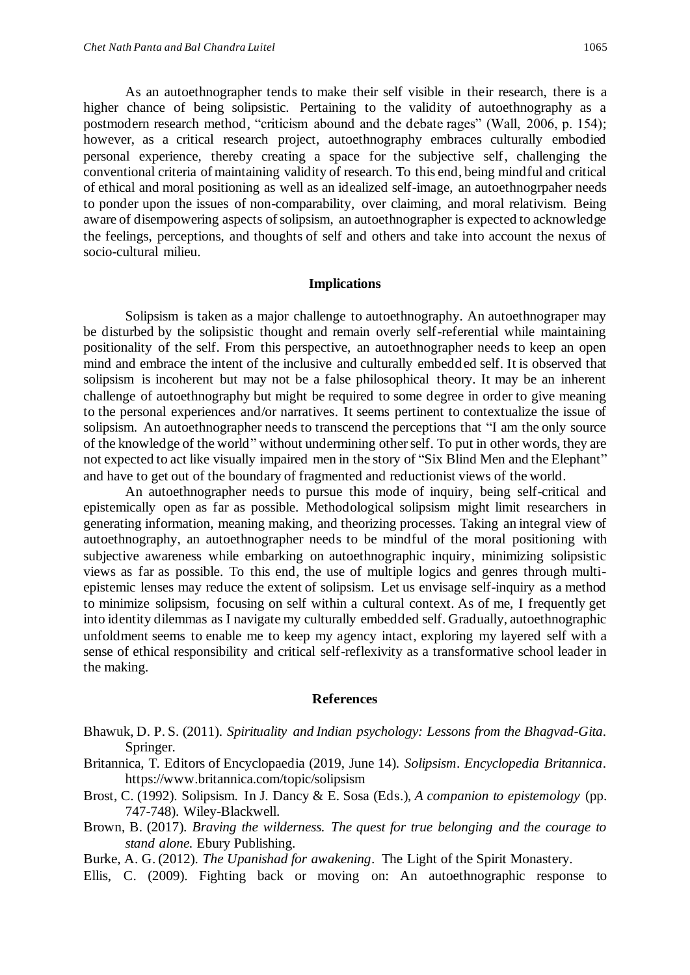As an autoethnographer tends to make their self visible in their research, there is a higher chance of being solipsistic. Pertaining to the validity of autoethnography as a postmodern research method, "criticism abound and the debate rages" (Wall, 2006, p. 154); however, as a critical research project, autoethnography embraces culturally embodied personal experience, thereby creating a space for the subjective self, challenging the conventional criteria of maintaining validity of research. To this end, being mindful and critical of ethical and moral positioning as well as an idealized self-image, an autoethnogrpaher needs to ponder upon the issues of non-comparability, over claiming, and moral relativism. Being aware of disempowering aspects of solipsism, an autoethnographer is expected to acknowledge the feelings, perceptions, and thoughts of self and others and take into account the nexus of socio-cultural milieu.

#### **Implications**

Solipsism is taken as a major challenge to autoethnography. An autoethnograper may be disturbed by the solipsistic thought and remain overly self-referential while maintaining positionality of the self. From this perspective, an autoethnographer needs to keep an open mind and embrace the intent of the inclusive and culturally embedded self. It is observed that solipsism is incoherent but may not be a false philosophical theory. It may be an inherent challenge of autoethnography but might be required to some degree in order to give meaning to the personal experiences and/or narratives. It seems pertinent to contextualize the issue of solipsism. An autoethnographer needs to transcend the perceptions that "I am the only source of the knowledge of the world" without undermining other self. To put in other words, they are not expected to act like visually impaired men in the story of "Six Blind Men and the Elephant" and have to get out of the boundary of fragmented and reductionist views of the world.

An autoethnographer needs to pursue this mode of inquiry, being self-critical and epistemically open as far as possible. Methodological solipsism might limit researchers in generating information, meaning making, and theorizing processes. Taking an integral view of autoethnography, an autoethnographer needs to be mindful of the moral positioning with subjective awareness while embarking on autoethnographic inquiry, minimizing solipsistic views as far as possible. To this end, the use of multiple logics and genres through multiepistemic lenses may reduce the extent of solipsism. Let us envisage self-inquiry as a method to minimize solipsism, focusing on self within a cultural context. As of me, I frequently get into identity dilemmas as I navigate my culturally embedded self. Gradually, autoethnographic unfoldment seems to enable me to keep my agency intact, exploring my layered self with a sense of ethical responsibility and critical self-reflexivity as a transformative school leader in the making.

## **References**

- Bhawuk, D. P. S. (2011). *Spirituality and Indian psychology: Lessons from the Bhagvad-Gita*. Springer.
- Britannica, T. Editors of Encyclopaedia (2019, June 14). *Solipsism*. *Encyclopedia Britannica*. https://www.britannica.com/topic/solipsism
- Brost, C. (1992). Solipsism. In J. Dancy & E. Sosa (Eds.), *A companion to epistemology* (pp. 747-748). Wiley-Blackwell.
- Brown, B. (2017). *Braving the wilderness. The quest for true belonging and the courage to stand alone.* Ebury Publishing.
- Burke, A. G. (2012). *The Upanishad for awakening*. The Light of the Spirit Monastery.
- Ellis, C. (2009). Fighting back or moving on: An autoethnographic response to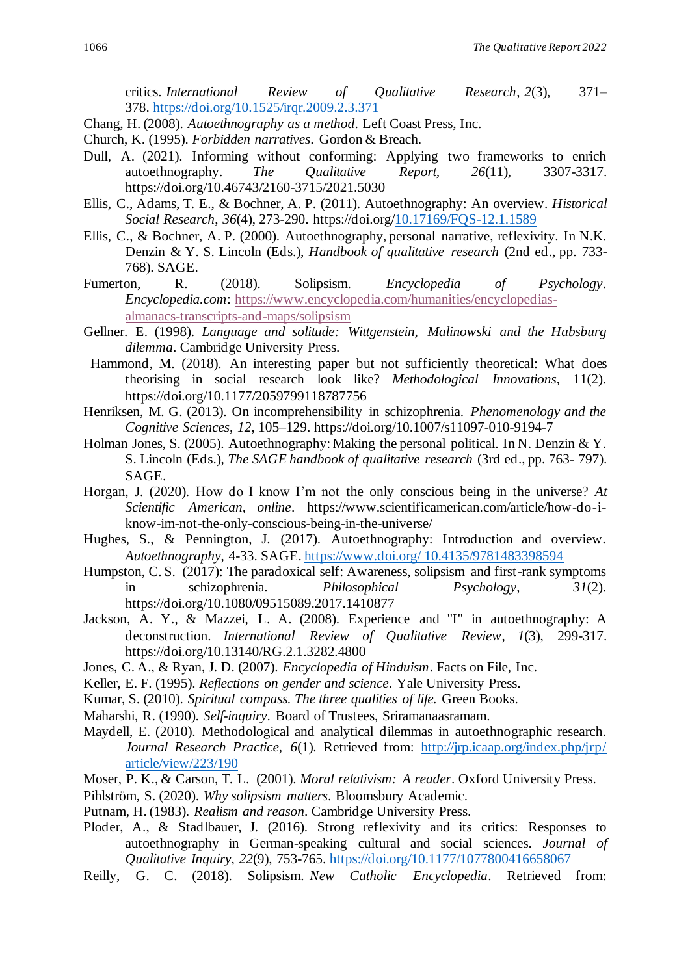critics. *International Review of Qualitative Research*, *2*(3), 371– 378. <https://doi.org/10.1525/irqr.2009.2.3.371>

- Chang, H. (2008). *Autoethnography as a method*. Left Coast Press, Inc.
- Church, K. (1995). *Forbidden narratives*. Gordon & Breach.
- Dull, A. (2021). Informing without conforming: Applying two frameworks to enrich autoethnography. *The Qualitative Report, 26*(11), 3307-3317. https://doi.org/10.46743/2160-3715/2021.5030
- Ellis, C., Adams, T. E., & Bochner, A. P. (2011). Autoethnography: An overview. *Historical Social Research*, *36*(4), 273-290. https://doi.org[/10.17169/FQS-12.1.1589](https://doi.org/10.17169/FQS-12.1.1589)
- Ellis, C., & Bochner, A. P. (2000). Autoethnography, personal narrative, reflexivity. In N.K. Denzin & Y. S. Lincoln (Eds.), *Handbook of qualitative research* (2nd ed., pp. 733- 768). SAGE.
- Fumerton, R. (2018). Solipsism. *Encyclopedia of Psychology*. *Encyclopedia.com*: [https://www.encyclopedia.com/humanities/encyclopedias](https://www.encyclopedia.com/humanities/encyclopedias-almanacs-transcripts-and-maps/solipsism)[almanacs-transcripts-and-maps/solipsism](https://www.encyclopedia.com/humanities/encyclopedias-almanacs-transcripts-and-maps/solipsism)
- Gellner. E. (1998). *Language and solitude: Wittgenstein, Malinowski and the Habsburg dilemma*. Cambridge University Press.
- Hammond, M. (2018). An interesting paper but not sufficiently theoretical: What does theorising in social research look like? *Methodological Innovations*, 11(2). https://doi.org/10.1177/2059799118787756
- Henriksen, M. G. (2013). On incomprehensibility in schizophrenia. *Phenomenology and the Cognitive Sciences*, *12*, 105–129. https://doi.org/10.1007/s11097-010-9194-7
- Holman Jones, S. (2005). Autoethnography: Making the personal political. In N. Denzin & Y. S. Lincoln (Eds.), *The SAGE handbook of qualitative research* (3rd ed., pp. 763- 797). SAGE.
- Horgan, J. (2020). How do I know I'm not the only conscious being in the universe? *At Scientific American, online*. https://www.scientificamerican.com/article/how-do-iknow-im-not-the-only-conscious-being-in-the-universe/
- Hughes, S., & Pennington, J. (2017). Autoethnography: Introduction and overview. *Autoethnography*, 4-33. SAGE. [https://www.doi.org/ 10.4135/9781483398594](https://www.doi.org/%2010.4135/9781483398594)
- Humpston, C. S. (2017): The paradoxical self: Awareness, solipsism and first-rank symptoms in schizophrenia. *Philosophical Psychology*, *31*(2). https://doi.org/10.1080/09515089.2017.1410877
- Jackson, A. Y., & Mazzei, L. A. (2008). Experience and "I" in autoethnography: A deconstruction. *International Review of Qualitative Review*, *1*(3), 299-317. https://doi.org/10.13140/RG.2.1.3282.4800
- Jones, C. A., & Ryan, J. D. (2007). *Encyclopedia of Hinduism*. Facts on File, Inc.
- Keller, E. F. (1995). *Reflections on gender and science*. Yale University Press.
- Kumar, S. (2010). *Spiritual compass. The three qualities of life.* Green Books.
- Maharshi, R. (1990). *Self-inquiry*. Board of Trustees, Sriramanaasramam.
- Maydell, E. (2010). Methodological and analytical dilemmas in autoethnographic research. *Journal Research Practice, 6*(1). Retrieved from: [http://jrp.icaap.org/index.php/jrp/](http://jrp.icaap.org/index.php/jrp/%20article/view/223/190)  [article/view/223/190](http://jrp.icaap.org/index.php/jrp/%20article/view/223/190)
- Moser, P. K., & Carson, T. L. (2001). *Moral relativism: A reader*. Oxford University Press.
- Pihlström, S. (2020). *Why solipsism matters*. Bloomsbury Academic.
- Putnam, H. (1983). *Realism and reason*. Cambridge University Press.
- Ploder, A., & Stadlbauer, J. (2016). Strong reflexivity and its critics: Responses to autoethnography in German-speaking cultural and social sciences. *Journal of Qualitative Inquiry*, *22*(9), 753-765. [https://doi.org/10.1177/1077800416658067](https://doi.org/10.1177%2F1077800416658067)
- Reilly, G. C. (2018). Solipsism. *New Catholic Encyclopedia*. Retrieved from: